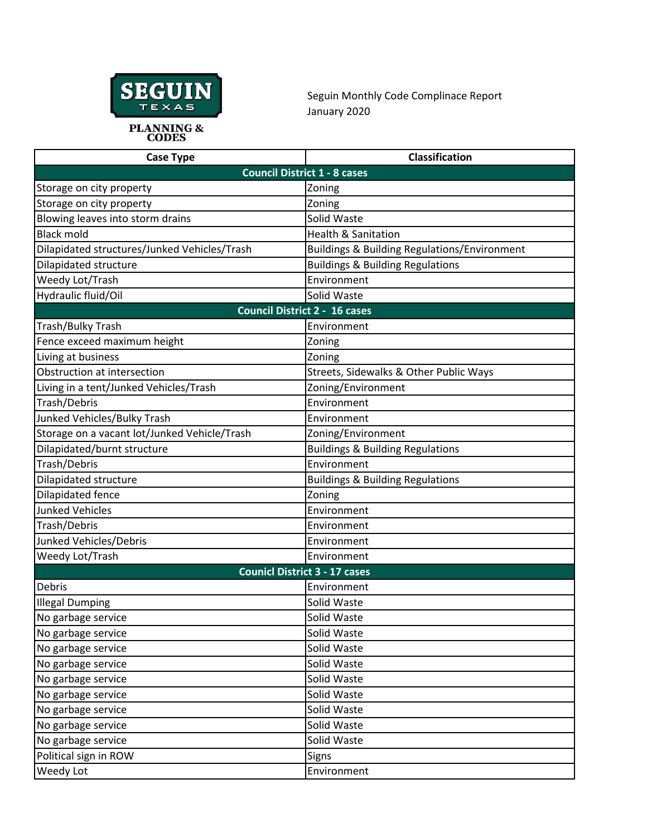

Seguin Monthly Code Complinace Report January 2020

| <b>Case Type</b>                             | <b>Classification</b>                        |  |  |  |
|----------------------------------------------|----------------------------------------------|--|--|--|
|                                              | <b>Council District 1 - 8 cases</b>          |  |  |  |
| Storage on city property                     | Zoning                                       |  |  |  |
| Storage on city property                     | Zoning                                       |  |  |  |
| Blowing leaves into storm drains             | Solid Waste                                  |  |  |  |
| <b>Black mold</b>                            | <b>Health &amp; Sanitation</b>               |  |  |  |
| Dilapidated structures/Junked Vehicles/Trash | Buildings & Building Regulations/Environment |  |  |  |
| Dilapidated structure                        | <b>Buildings &amp; Building Regulations</b>  |  |  |  |
| Weedy Lot/Trash                              | Environment                                  |  |  |  |
| Hydraulic fluid/Oil                          | Solid Waste                                  |  |  |  |
|                                              | <b>Council District 2 - 16 cases</b>         |  |  |  |
| Trash/Bulky Trash                            | Environment                                  |  |  |  |
| Fence exceed maximum height                  | Zoning                                       |  |  |  |
| Living at business                           | Zoning                                       |  |  |  |
| Obstruction at intersection                  | Streets, Sidewalks & Other Public Ways       |  |  |  |
| Living in a tent/Junked Vehicles/Trash       | Zoning/Environment                           |  |  |  |
| Trash/Debris                                 | Environment                                  |  |  |  |
| Junked Vehicles/Bulky Trash                  | Environment                                  |  |  |  |
| Storage on a vacant lot/Junked Vehicle/Trash | Zoning/Environment                           |  |  |  |
| Dilapidated/burnt structure                  | <b>Buildings &amp; Building Regulations</b>  |  |  |  |
| Trash/Debris                                 | Environment                                  |  |  |  |
| Dilapidated structure                        | <b>Buildings &amp; Building Regulations</b>  |  |  |  |
| Dilapidated fence                            | Zoning                                       |  |  |  |
| <b>Junked Vehicles</b>                       | Environment                                  |  |  |  |
| Trash/Debris                                 | Environment                                  |  |  |  |
| Junked Vehicles/Debris                       | Environment                                  |  |  |  |
| Weedy Lot/Trash                              | Environment                                  |  |  |  |
| <b>Counicl District 3 - 17 cases</b>         |                                              |  |  |  |
| Debris                                       | Environment                                  |  |  |  |
| <b>Illegal Dumping</b>                       | Solid Waste                                  |  |  |  |
| No garbage service                           | Solid Waste                                  |  |  |  |
| No garbage service                           | Solid Waste                                  |  |  |  |
| No garbage service                           | Solid Waste                                  |  |  |  |
| No garbage service                           | Solid Waste                                  |  |  |  |
| No garbage service                           | Solid Waste                                  |  |  |  |
| No garbage service                           | Solid Waste                                  |  |  |  |
| No garbage service                           | Solid Waste                                  |  |  |  |
| No garbage service                           | Solid Waste                                  |  |  |  |
| No garbage service                           | Solid Waste                                  |  |  |  |
| Political sign in ROW                        | Signs                                        |  |  |  |
| Weedy Lot                                    | Environment                                  |  |  |  |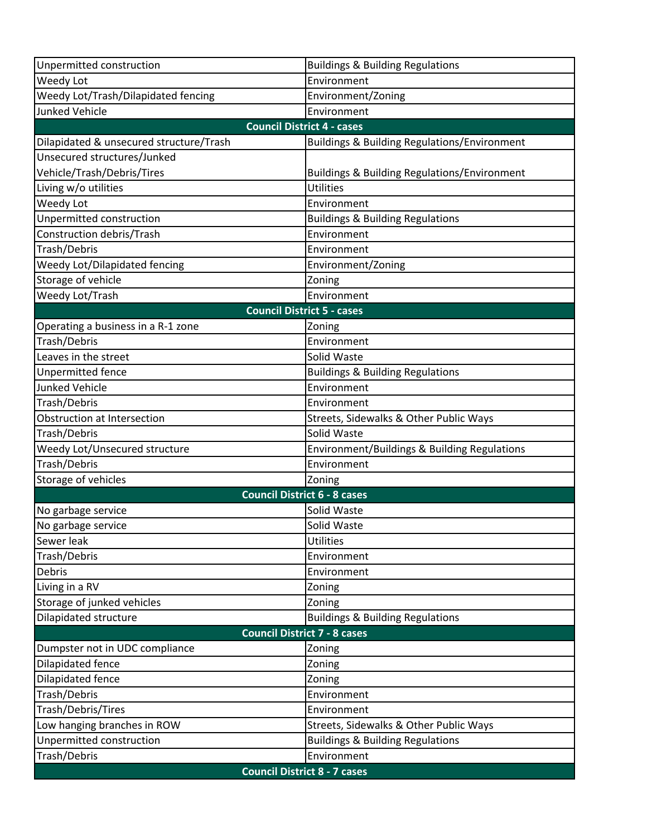| Unpermitted construction                | <b>Buildings &amp; Building Regulations</b>             |  |  |
|-----------------------------------------|---------------------------------------------------------|--|--|
| Weedy Lot                               | Environment                                             |  |  |
| Weedy Lot/Trash/Dilapidated fencing     | Environment/Zoning                                      |  |  |
| <b>Junked Vehicle</b>                   | Environment                                             |  |  |
| <b>Council District 4 - cases</b>       |                                                         |  |  |
| Dilapidated & unsecured structure/Trash | <b>Buildings &amp; Building Regulations/Environment</b> |  |  |
| Unsecured structures/Junked             |                                                         |  |  |
| Vehicle/Trash/Debris/Tires              | <b>Buildings &amp; Building Regulations/Environment</b> |  |  |
| Living w/o utilities                    | <b>Utilities</b>                                        |  |  |
| Weedy Lot                               | Environment                                             |  |  |
| Unpermitted construction                | <b>Buildings &amp; Building Regulations</b>             |  |  |
| Construction debris/Trash               | Environment                                             |  |  |
| Trash/Debris                            | Environment                                             |  |  |
| Weedy Lot/Dilapidated fencing           | Environment/Zoning                                      |  |  |
| Storage of vehicle                      | Zoning                                                  |  |  |
| Weedy Lot/Trash                         | Environment                                             |  |  |
|                                         | <b>Council District 5 - cases</b>                       |  |  |
| Operating a business in a R-1 zone      | Zoning                                                  |  |  |
| Trash/Debris                            | Environment                                             |  |  |
| Leaves in the street                    | Solid Waste                                             |  |  |
| <b>Unpermitted fence</b>                | <b>Buildings &amp; Building Regulations</b>             |  |  |
| <b>Junked Vehicle</b>                   | Environment                                             |  |  |
| Trash/Debris                            | Environment                                             |  |  |
| Obstruction at Intersection             | Streets, Sidewalks & Other Public Ways                  |  |  |
| Trash/Debris                            | Solid Waste                                             |  |  |
| Weedy Lot/Unsecured structure           | Environment/Buildings & Building Regulations            |  |  |
| Trash/Debris                            | Environment                                             |  |  |
| Storage of vehicles                     | Zoning                                                  |  |  |
|                                         | <b>Council District 6 - 8 cases</b>                     |  |  |
| No garbage service                      | Solid Waste                                             |  |  |
| No garbage service                      | Solid Waste                                             |  |  |
| Sewer leak                              | <b>Utilities</b>                                        |  |  |
| Trash/Debris                            | Environment                                             |  |  |
| Debris                                  | Environment                                             |  |  |
| Living in a RV                          | Zoning                                                  |  |  |
| Storage of junked vehicles              | Zoning                                                  |  |  |
| Dilapidated structure                   | <b>Buildings &amp; Building Regulations</b>             |  |  |
|                                         | <b>Council District 7 - 8 cases</b>                     |  |  |
| Dumpster not in UDC compliance          | Zoning                                                  |  |  |
| Dilapidated fence                       | Zoning                                                  |  |  |
| Dilapidated fence                       | Zoning                                                  |  |  |
| Trash/Debris                            | Environment                                             |  |  |
| Trash/Debris/Tires                      | Environment                                             |  |  |
| Low hanging branches in ROW             | Streets, Sidewalks & Other Public Ways                  |  |  |
| Unpermitted construction                | <b>Buildings &amp; Building Regulations</b>             |  |  |
| Trash/Debris                            | Environment                                             |  |  |
|                                         | <b>Council District 8 - 7 cases</b>                     |  |  |